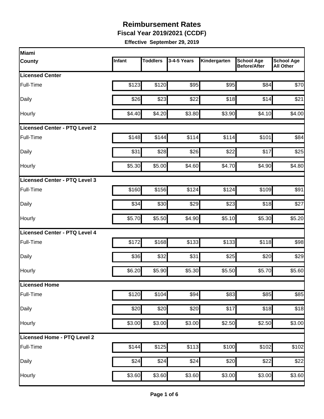**Fiscal Year 2019/2021 (CCDF)**

| Infant | <b>Toddlers</b> | 3-4-5 Years | Kindergarten                                                                                                       | <b>School Age</b><br><b>Before/After</b> | <b>School Age</b><br><b>All Other</b>                                                                                                                                                            |
|--------|-----------------|-------------|--------------------------------------------------------------------------------------------------------------------|------------------------------------------|--------------------------------------------------------------------------------------------------------------------------------------------------------------------------------------------------|
|        |                 |             |                                                                                                                    |                                          |                                                                                                                                                                                                  |
| \$123  | \$120           | \$95        |                                                                                                                    | \$84                                     | \$70                                                                                                                                                                                             |
| \$26   |                 | \$22        |                                                                                                                    | \$14                                     | \$21                                                                                                                                                                                             |
| \$4.40 |                 | \$3.80      |                                                                                                                    | \$4.10                                   | \$4.00                                                                                                                                                                                           |
|        |                 |             |                                                                                                                    |                                          |                                                                                                                                                                                                  |
| \$148  |                 | \$114       |                                                                                                                    | \$101                                    | \$84                                                                                                                                                                                             |
| \$31   |                 | \$26        | \$22                                                                                                               | \$17                                     | \$25                                                                                                                                                                                             |
| \$5.30 |                 | \$4.60      |                                                                                                                    | \$4.90                                   | \$4.80                                                                                                                                                                                           |
|        |                 |             |                                                                                                                    |                                          |                                                                                                                                                                                                  |
| \$160  |                 | \$124       |                                                                                                                    | \$109                                    | \$91                                                                                                                                                                                             |
| \$34   |                 | \$29        |                                                                                                                    |                                          | \$27                                                                                                                                                                                             |
| \$5.70 | \$5.50          | \$4.90      |                                                                                                                    | \$5.30                                   | \$5.20                                                                                                                                                                                           |
|        |                 |             |                                                                                                                    |                                          |                                                                                                                                                                                                  |
| \$172  |                 | \$133       |                                                                                                                    | \$118                                    | \$98                                                                                                                                                                                             |
| \$36   | \$32            | \$31        |                                                                                                                    | \$20                                     | \$29                                                                                                                                                                                             |
| \$6.20 |                 | \$5.30      |                                                                                                                    |                                          | \$5.60                                                                                                                                                                                           |
|        |                 |             |                                                                                                                    |                                          |                                                                                                                                                                                                  |
| \$120  | \$104           | \$94        |                                                                                                                    |                                          | \$85                                                                                                                                                                                             |
| \$20   |                 | \$20        |                                                                                                                    |                                          | \$18                                                                                                                                                                                             |
| \$3.00 |                 | \$3.00      |                                                                                                                    | \$2.50                                   | \$3.00                                                                                                                                                                                           |
|        |                 |             |                                                                                                                    |                                          |                                                                                                                                                                                                  |
| \$144  |                 |             |                                                                                                                    | \$102                                    | \$102                                                                                                                                                                                            |
| \$24   | \$24            | \$24        |                                                                                                                    | \$22                                     | \$22                                                                                                                                                                                             |
|        |                 | \$3.60      |                                                                                                                    |                                          | \$3.60                                                                                                                                                                                           |
|        |                 | \$3.60      | \$23<br>\$4.20<br>\$144<br>\$28<br>\$5.00<br>\$156<br>\$30<br>\$168<br>\$5.90<br>\$20<br>\$3.00<br>\$125<br>\$3.60 | \$113                                    | \$95<br>\$18<br>\$3.90<br>\$114<br>\$4.70<br>\$124<br>\$23<br>\$18<br>\$5.10<br>\$133<br>\$25<br>\$5.50<br>\$5.70<br>\$85<br>\$83<br>\$17<br>\$18<br>\$2.50<br>\$100<br>\$20<br>\$3.00<br>\$3.00 |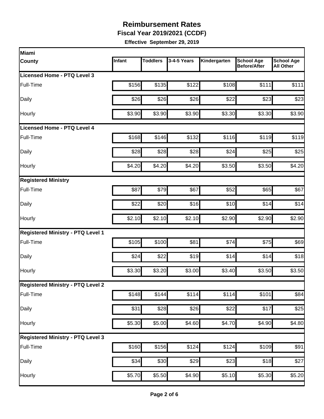**Fiscal Year 2019/2021 (CCDF)**

| Miami                                    |        |                 |             |                    |                                          |                                       |
|------------------------------------------|--------|-----------------|-------------|--------------------|------------------------------------------|---------------------------------------|
| <b>County</b>                            | Infant | <b>Toddlers</b> | 3-4-5 Years | Kindergarten       | <b>School Age</b><br><b>Before/After</b> | <b>School Age</b><br><b>All Other</b> |
| Licensed Home - PTQ Level 3              |        |                 |             |                    |                                          |                                       |
| Full-Time                                | \$156  | \$135           | \$122       | \$108              | \$111                                    | \$111                                 |
| Daily                                    | \$26   | \$26            | \$26        | \$22               | \$23                                     | \$23                                  |
| Hourly                                   | \$3.90 | \$3.90          | \$3.90      | \$3.30             | \$3.30                                   | \$3.90                                |
| <b>Licensed Home - PTQ Level 4</b>       |        |                 |             |                    |                                          |                                       |
| Full-Time                                | \$168  | \$146           | \$132       | \$116              | \$119                                    | \$119                                 |
| Daily                                    | \$28   | \$28            | \$28        | \$24               | \$25                                     | \$25                                  |
| Hourly                                   | \$4.20 | \$4.20          | \$4.20      | \$3.50             | \$3.50                                   | \$4.20                                |
| <b>Registered Ministry</b>               |        |                 |             |                    |                                          |                                       |
| Full-Time                                | \$87   | \$79            | \$67        | \$52               | \$65                                     | \$67                                  |
| Daily                                    | \$22   | \$20            | \$16        | \$10               | \$14                                     | \$14                                  |
| Hourly                                   | \$2.10 | \$2.10          | \$2.10      | \$2.90             | \$2.90                                   | \$2.90                                |
| <b>Registered Ministry - PTQ Level 1</b> |        |                 |             |                    |                                          |                                       |
| Full-Time                                | \$105  | \$100           | \$81        | \$74               | \$75                                     | \$69                                  |
| Daily                                    | \$24   | \$22            | \$19        | \$14               | \$14                                     | \$18                                  |
| Hourly                                   | \$3.30 | \$3.20          | \$3.00      | \$3.40             | \$3.50                                   | \$3.50                                |
| <b>Registered Ministry - PTQ Level 2</b> |        |                 |             |                    |                                          |                                       |
| Full-Time                                | \$148  | \$144           | \$114       | \$114              | \$101                                    | \$84                                  |
| Daily                                    | \$31   | \$28            | \$26        | \$22               | \$17                                     | \$25                                  |
| Hourly                                   | \$5.30 | \$5.00          | \$4.60      | \$4.70             | \$4.90                                   | \$4.80                                |
| <b>Registered Ministry - PTQ Level 3</b> |        |                 |             |                    |                                          |                                       |
| Full-Time                                | \$160  | \$156           | \$124       | \$124              | \$109                                    | \$91                                  |
| Daily                                    | \$34   | \$30            | \$29        | \$23               | \$18                                     | \$27                                  |
| Hourly                                   | \$5.70 | \$5.50          | \$4.90      | $\overline{$5.10}$ | \$5.30                                   | \$5.20                                |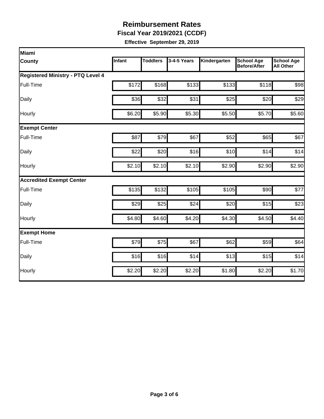**Fiscal Year 2019/2021 (CCDF)**

| Miami                                    |        |                 |             |              |                                          |                                       |  |  |  |
|------------------------------------------|--------|-----------------|-------------|--------------|------------------------------------------|---------------------------------------|--|--|--|
| <b>County</b>                            | Infant | <b>Toddlers</b> | 3-4-5 Years | Kindergarten | <b>School Age</b><br><b>Before/After</b> | <b>School Age</b><br><b>All Other</b> |  |  |  |
| <b>Registered Ministry - PTQ Level 4</b> |        |                 |             |              |                                          |                                       |  |  |  |
| Full-Time                                | \$172  | \$168           | \$133       | \$133        | \$118                                    | \$98                                  |  |  |  |
| Daily                                    | \$36   | \$32            | \$31        | \$25         | \$20                                     | \$29                                  |  |  |  |
| Hourly                                   | \$6.20 | \$5.90          | \$5.30      | \$5.50       | \$5.70                                   | \$5.60                                |  |  |  |
| <b>Exempt Center</b>                     |        |                 |             |              |                                          |                                       |  |  |  |
| Full-Time                                | \$87   | \$79            | \$67        | \$52         | \$65                                     | \$67                                  |  |  |  |
| Daily                                    | \$22   | \$20            | \$16        | \$10         | \$14                                     | \$14                                  |  |  |  |
| Hourly                                   | \$2.10 | \$2.10          | \$2.10      | \$2.90       | \$2.90                                   | \$2.90                                |  |  |  |
| <b>Accredited Exempt Center</b>          |        |                 |             |              |                                          |                                       |  |  |  |
| Full-Time                                | \$135  | \$132           | \$105       | \$105        | \$90                                     | \$77                                  |  |  |  |
| Daily                                    | \$29   | \$25            | \$24        | \$20         | \$15                                     | \$23                                  |  |  |  |
| Hourly                                   | \$4.80 | \$4.60          | \$4.20      | \$4.30       | \$4.50                                   | \$4.40                                |  |  |  |
| <b>Exempt Home</b>                       |        |                 |             |              |                                          |                                       |  |  |  |
| Full-Time                                | \$79   | \$75            | \$67        | \$62         | \$59                                     | \$64                                  |  |  |  |
| Daily                                    | \$16   | \$16            | \$14        | \$13         | \$15                                     | \$14                                  |  |  |  |
| Hourly                                   | \$2.20 | \$2.20          | \$2.20      | \$1.80       | \$2.20                                   | \$1.70                                |  |  |  |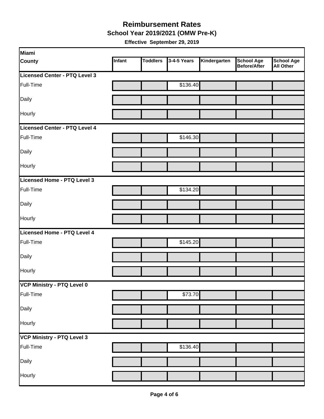**School Year 2019/2021 (OMW Pre-K)**

| Miami                             |        |                 |             |              |                                   |                         |
|-----------------------------------|--------|-----------------|-------------|--------------|-----------------------------------|-------------------------|
| <b>County</b>                     | Infant | <b>Toddlers</b> | 3-4-5 Years | Kindergarten | <b>School Age</b><br>Before/After | School Age<br>All Other |
| Licensed Center - PTQ Level 3     |        |                 |             |              |                                   |                         |
| Full-Time                         |        |                 | \$136.40    |              |                                   |                         |
| Daily                             |        |                 |             |              |                                   |                         |
| Hourly                            |        |                 |             |              |                                   |                         |
| Licensed Center - PTQ Level 4     |        |                 |             |              |                                   |                         |
| Full-Time                         |        |                 | \$146.30    |              |                                   |                         |
| Daily                             |        |                 |             |              |                                   |                         |
| Hourly                            |        |                 |             |              |                                   |                         |
| Licensed Home - PTQ Level 3       |        |                 |             |              |                                   |                         |
| Full-Time                         |        |                 | \$134.20    |              |                                   |                         |
| Daily                             |        |                 |             |              |                                   |                         |
| Hourly                            |        |                 |             |              |                                   |                         |
| Licensed Home - PTQ Level 4       |        |                 |             |              |                                   |                         |
| Full-Time                         |        |                 | \$145.20    |              |                                   |                         |
| Daily                             |        |                 |             |              |                                   |                         |
| Hourly                            |        |                 |             |              |                                   |                         |
| VCP Ministry - PTQ Level 0        |        |                 |             |              |                                   |                         |
| Full-Time                         |        |                 | \$73.70     |              |                                   |                         |
| Daily                             |        |                 |             |              |                                   |                         |
| Hourly                            |        |                 |             |              |                                   |                         |
| <b>VCP Ministry - PTQ Level 3</b> |        |                 |             |              |                                   |                         |
| Full-Time                         |        |                 | \$136.40    |              |                                   |                         |
| Daily                             |        |                 |             |              |                                   |                         |
| Hourly                            |        |                 |             |              |                                   |                         |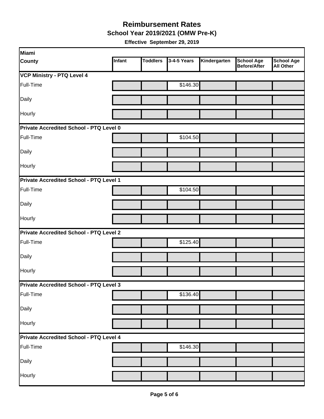**School Year 2019/2021 (OMW Pre-K)**

| Miami                                   |               |                 |             |              |                                          |                                       |  |  |  |
|-----------------------------------------|---------------|-----------------|-------------|--------------|------------------------------------------|---------------------------------------|--|--|--|
| <b>County</b>                           | <b>Infant</b> | <b>Toddlers</b> | 3-4-5 Years | Kindergarten | <b>School Age</b><br><b>Before/After</b> | <b>School Age</b><br><b>All Other</b> |  |  |  |
| <b>VCP Ministry - PTQ Level 4</b>       |               |                 |             |              |                                          |                                       |  |  |  |
| Full-Time                               |               |                 | \$146.30    |              |                                          |                                       |  |  |  |
| Daily                                   |               |                 |             |              |                                          |                                       |  |  |  |
| Hourly                                  |               |                 |             |              |                                          |                                       |  |  |  |
| Private Accredited School - PTQ Level 0 |               |                 |             |              |                                          |                                       |  |  |  |
| Full-Time                               |               |                 | \$104.50    |              |                                          |                                       |  |  |  |
| Daily                                   |               |                 |             |              |                                          |                                       |  |  |  |
| Hourly                                  |               |                 |             |              |                                          |                                       |  |  |  |
| Private Accredited School - PTQ Level 1 |               |                 |             |              |                                          |                                       |  |  |  |
| Full-Time                               |               |                 | \$104.50    |              |                                          |                                       |  |  |  |
| Daily                                   |               |                 |             |              |                                          |                                       |  |  |  |
| <b>Hourly</b>                           |               |                 |             |              |                                          |                                       |  |  |  |
| Private Accredited School - PTQ Level 2 |               |                 |             |              |                                          |                                       |  |  |  |
| Full-Time                               |               |                 | \$125.40    |              |                                          |                                       |  |  |  |
| Daily                                   |               |                 |             |              |                                          |                                       |  |  |  |
| Hourly                                  |               |                 |             |              |                                          |                                       |  |  |  |
| Private Accredited School - PTQ Level 3 |               |                 |             |              |                                          |                                       |  |  |  |
| Full-Time                               |               |                 | \$136.40    |              |                                          |                                       |  |  |  |
| Daily                                   |               |                 |             |              |                                          |                                       |  |  |  |
| Hourly                                  |               |                 |             |              |                                          |                                       |  |  |  |
| Private Accredited School - PTQ Level 4 |               |                 |             |              |                                          |                                       |  |  |  |
| Full-Time                               |               |                 | \$146.30    |              |                                          |                                       |  |  |  |
| Daily                                   |               |                 |             |              |                                          |                                       |  |  |  |
| Hourly                                  |               |                 |             |              |                                          |                                       |  |  |  |